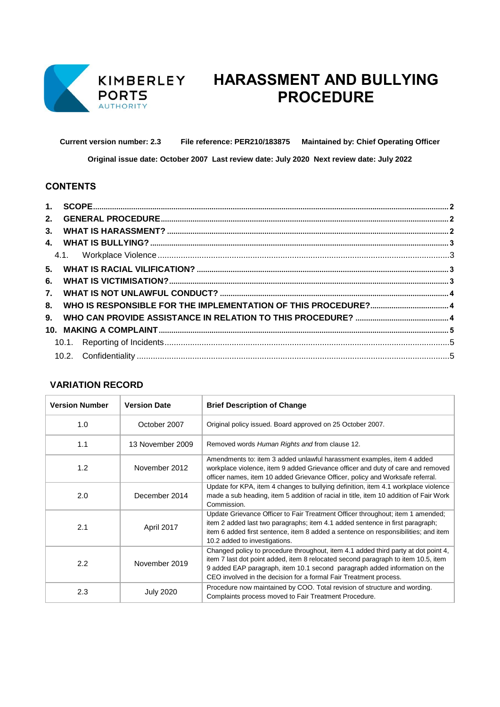

# **HARASSMENT AND BULLYING PROCEDURE**

**Current version number: 2.3 File reference: PER210/183875 Maintained by: Chief Operating Officer** 

**Original issue date: October 2007 Last review date: July 2020 Next review date: July 2022**

#### **CONTENTS**

| 6. |  |  |  |
|----|--|--|--|
| 7. |  |  |  |
| 8. |  |  |  |
|    |  |  |  |
|    |  |  |  |
|    |  |  |  |
|    |  |  |  |
|    |  |  |  |

## **VARIATION RECORD**

| <b>Version Number</b> | <b>Version Date</b> | <b>Brief Description of Change</b>                                                                                                                                                                                                                                                                                         |
|-----------------------|---------------------|----------------------------------------------------------------------------------------------------------------------------------------------------------------------------------------------------------------------------------------------------------------------------------------------------------------------------|
| 1.0                   | October 2007        | Original policy issued. Board approved on 25 October 2007.                                                                                                                                                                                                                                                                 |
| 1.1                   | 13 November 2009    | Removed words Human Rights and from clause 12.                                                                                                                                                                                                                                                                             |
| 1.2                   | November 2012       | Amendments to: item 3 added unlawful harassment examples, item 4 added<br>workplace violence, item 9 added Grievance officer and duty of care and removed<br>officer names, item 10 added Grievance Officer, policy and Worksafe referral.                                                                                 |
| 2.0                   | December 2014       | Update for KPA, item 4 changes to bullying definition, item 4.1 workplace violence<br>made a sub heading, item 5 addition of racial in title, item 10 addition of Fair Work<br>Commission.                                                                                                                                 |
| 2.1                   | April 2017          | Update Grievance Officer to Fair Treatment Officer throughout; item 1 amended;<br>item 2 added last two paragraphs; item 4.1 added sentence in first paragraph;<br>item 6 added first sentence, item 8 added a sentence on responsibilities; and item<br>10.2 added to investigations.                                     |
| 2.2                   | November 2019       | Changed policy to procedure throughout, item 4.1 added third party at dot point 4,<br>item 7 last dot point added, item 8 relocated second paragraph to item 10.5, item<br>9 added EAP paragraph, item 10.1 second paragraph added information on the<br>CEO involved in the decision for a formal Fair Treatment process. |
| 2.3                   | <b>July 2020</b>    | Procedure now maintained by COO. Total revision of structure and wording.<br>Complaints process moved to Fair Treatment Procedure.                                                                                                                                                                                         |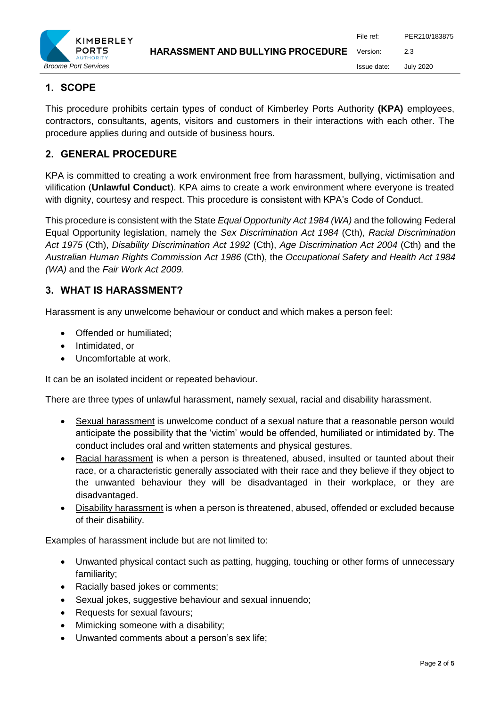

# <span id="page-1-0"></span>**1. SCOPE**

This procedure prohibits certain types of conduct of Kimberley Ports Authority **(KPA)** employees, contractors, consultants, agents, visitors and customers in their interactions with each other. The procedure applies during and outside of business hours.

# <span id="page-1-1"></span>**2. GENERAL PROCEDURE**

KPA is committed to creating a work environment free from harassment, bullying, victimisation and vilification (**Unlawful Conduct**). KPA aims to create a work environment where everyone is treated with dignity, courtesy and respect. This procedure is consistent with KPA's Code of Conduct.

This procedure is consistent with the State *Equal Opportunity Act 1984 (WA)* and the following Federal Equal Opportunity legislation, namely the *Sex Discrimination Act 1984* (Cth), *Racial Discrimination Act 1975* (Cth), *Disability Discrimination Act 1992* (Cth), *Age Discrimination Act 2004* (Cth) and the *Australian Human Rights Commission Act 1986* (Cth), th*e Occupational Safety and Health Act 1984 (WA)* and the *Fair Work Act 2009.*

## <span id="page-1-2"></span>**3. WHAT IS HARASSMENT?**

Harassment is any unwelcome behaviour or conduct and which makes a person feel:

- Offended or humiliated;
- Intimidated, or
- Uncomfortable at work.

It can be an isolated incident or repeated behaviour.

There are three types of unlawful harassment, namely sexual, racial and disability harassment.

- Sexual harassment is unwelcome conduct of a sexual nature that a reasonable person would anticipate the possibility that the 'victim' would be offended, humiliated or intimidated by. The conduct includes oral and written statements and physical gestures.
- Racial harassment is when a person is threatened, abused, insulted or taunted about their race, or a characteristic generally associated with their race and they believe if they object to the unwanted behaviour they will be disadvantaged in their workplace, or they are disadvantaged.
- Disability harassment is when a person is threatened, abused, offended or excluded because of their disability.

Examples of harassment include but are not limited to:

- Unwanted physical contact such as patting, hugging, touching or other forms of unnecessary familiarity;
- Racially based jokes or comments;
- Sexual jokes, suggestive behaviour and sexual innuendo;
- Requests for sexual favours;
- Mimicking someone with a disability;
- Unwanted comments about a person's sex life;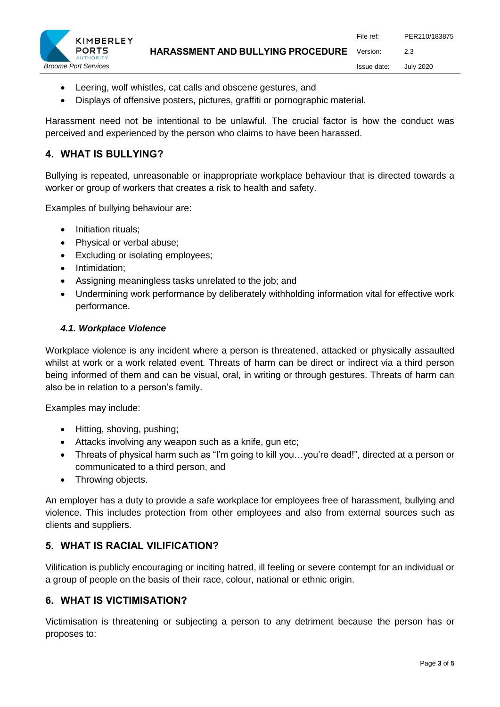

- Leering, wolf whistles, cat calls and obscene gestures, and
- Displays of offensive posters, pictures, graffiti or pornographic material.

Harassment need not be intentional to be unlawful. The crucial factor is how the conduct was perceived and experienced by the person who claims to have been harassed.

### <span id="page-2-0"></span>**4. WHAT IS BULLYING?**

Bullying is repeated, unreasonable or inappropriate workplace behaviour that is directed towards a worker or group of workers that creates a risk to health and safety.

Examples of bullying behaviour are:

- Initiation rituals:
- Physical or verbal abuse;
- Excluding or isolating employees;
- Intimidation;
- Assigning meaningless tasks unrelated to the job; and
- Undermining work performance by deliberately withholding information vital for effective work performance.

#### <span id="page-2-1"></span>*4.1. Workplace Violence*

Workplace violence is any incident where a person is threatened, attacked or physically assaulted whilst at work or a work related event. Threats of harm can be direct or indirect via a third person being informed of them and can be visual, oral, in writing or through gestures. Threats of harm can also be in relation to a person's family.

Examples may include:

- Hitting, shoving, pushing;
- Attacks involving any weapon such as a knife, gun etc;
- Threats of physical harm such as "I'm going to kill you…you're dead!", directed at a person or communicated to a third person, and
- Throwing objects.

An employer has a duty to provide a safe workplace for employees free of harassment, bullying and violence. This includes protection from other employees and also from external sources such as clients and suppliers.

#### <span id="page-2-2"></span>**5. WHAT IS RACIAL VILIFICATION?**

Vilification is publicly encouraging or inciting hatred, ill feeling or severe contempt for an individual or a group of people on the basis of their race, colour, national or ethnic origin.

#### <span id="page-2-3"></span>**6. WHAT IS VICTIMISATION?**

Victimisation is threatening or subjecting a person to any detriment because the person has or proposes to: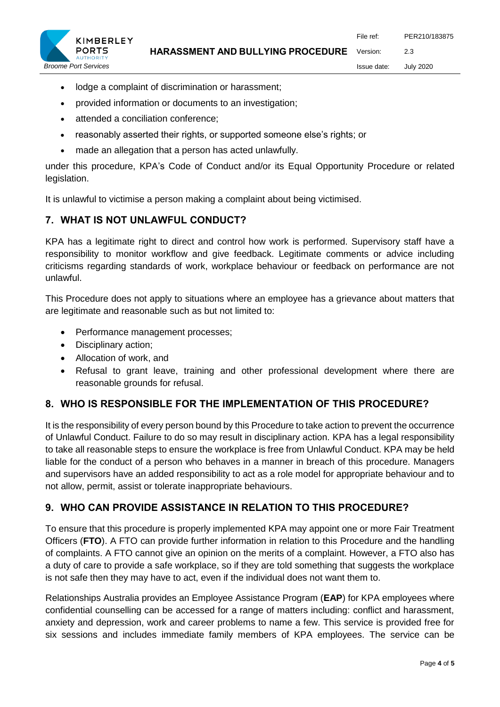**HARASSMENT AND BULLYING PROCEDURE** File ref: PER210/183875 Version: 2.3



Issue date: July 2020

- lodge a complaint of discrimination or harassment;
- provided information or documents to an investigation;
- attended a conciliation conference;
- reasonably asserted their rights, or supported someone else's rights; or
- made an allegation that a person has acted unlawfully.

under this procedure, KPA's Code of Conduct and/or its Equal Opportunity Procedure or related legislation.

It is unlawful to victimise a person making a complaint about being victimised.

# <span id="page-3-0"></span>**7. WHAT IS NOT UNLAWFUL CONDUCT?**

KPA has a legitimate right to direct and control how work is performed. Supervisory staff have a responsibility to monitor workflow and give feedback. Legitimate comments or advice including criticisms regarding standards of work, workplace behaviour or feedback on performance are not unlawful.

This Procedure does not apply to situations where an employee has a grievance about matters that are legitimate and reasonable such as but not limited to:

- Performance management processes;
- Disciplinary action;
- Allocation of work, and
- Refusal to grant leave, training and other professional development where there are reasonable grounds for refusal.

# <span id="page-3-1"></span>**8. WHO IS RESPONSIBLE FOR THE IMPLEMENTATION OF THIS PROCEDURE?**

It is the responsibility of every person bound by this Procedure to take action to prevent the occurrence of Unlawful Conduct. Failure to do so may result in disciplinary action. KPA has a legal responsibility to take all reasonable steps to ensure the workplace is free from Unlawful Conduct. KPA may be held liable for the conduct of a person who behaves in a manner in breach of this procedure. Managers and supervisors have an added responsibility to act as a role model for appropriate behaviour and to not allow, permit, assist or tolerate inappropriate behaviours.

# <span id="page-3-2"></span>**9. WHO CAN PROVIDE ASSISTANCE IN RELATION TO THIS PROCEDURE?**

To ensure that this procedure is properly implemented KPA may appoint one or more Fair Treatment Officers (**FTO**). A FTO can provide further information in relation to this Procedure and the handling of complaints. A FTO cannot give an opinion on the merits of a complaint. However, a FTO also has a duty of care to provide a safe workplace, so if they are told something that suggests the workplace is not safe then they may have to act, even if the individual does not want them to.

Relationships Australia provides an Employee Assistance Program (**EAP**) for KPA employees where confidential counselling can be accessed for a range of matters including: conflict and harassment, anxiety and depression, work and career problems to name a few. This service is provided free for six sessions and includes immediate family members of KPA employees. The service can be